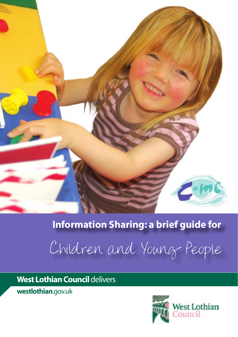

# **Information Sharing: a brief guide for**

Children and Young People

**West Lothian Council** delivers

**westlothian**.gov.uk

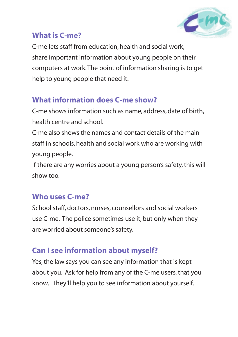

### **What is C-me?**

C-me lets staff from education, health and social work, share important information about young people on their computers at work. The point of information sharing is to get help to young people that need it.

## **What information does C-me show?**

C-me shows information such as name, address, date of birth, health centre and school.

C-me also shows the names and contact details of the main staff in schools, health and social work who are working with young people.

If there are any worries about a young person's safety, this will show too.

## **Who uses C-me?**

School staff, doctors, nurses, counsellors and social workers use C-me. The police sometimes use it, but only when they are worried about someone's safety.

## **Can I see information about myself?**

Yes, the law says you can see any information that is kept about you. Ask for help from any of the C-me users, that you know. They'll help you to see information about yourself.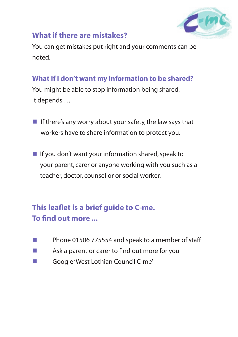

#### **What if there are mistakes?**

You can get mistakes put right and your comments can be noted.

#### **What if I don't want my information to be shared?**

You might be able to stop information being shared. It depends …

- If there's any worry about your safety, the law says that workers have to share information to protect you.
- $\blacksquare$  If you don't want your information shared, speak to your parent, carer or anyone working with you such as a teacher, doctor, counsellor or social worker.

## **This leaflet is a brief guide to C-me. To find out more ...**

- **n** Phone 01506 775554 and speak to a member of staff
- $\blacksquare$  Ask a parent or carer to find out more for you
- **n** Google 'West Lothian Council C-me'